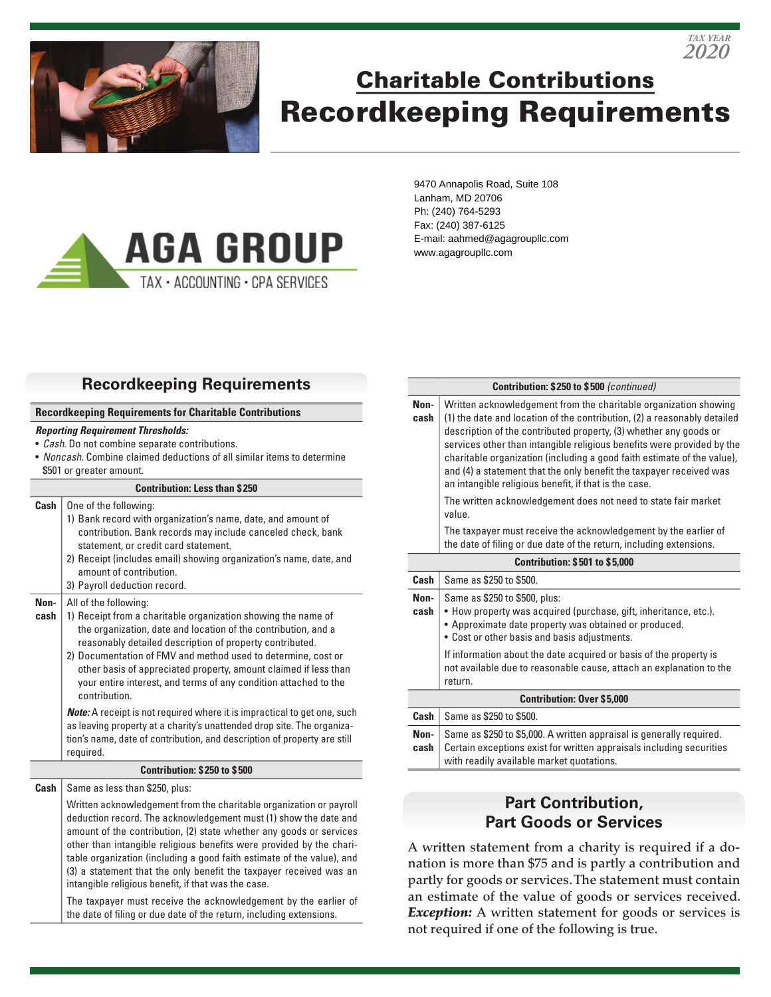

# Charitable Contributions Recordkeeping Requirements



9470 Annapolis Road, Suite 108 Lanham, MD 20706 Ph: (240) 764-5293 Fax: (240) 387-6125 E-mail: aahmed@agagroupllc.com www.agagroupllc.com

# **Recordkeeping Requirements**

#### **Recordkeeping Requirements for Charitable Contributions**

#### *Reporting Requirement Thresholds:*

- *Cash.* Do not combine separate contributions.
- *Noncash.* Combine claimed deductions of all similar items to determine \$501 or greater amount.

#### **Contribution: Less than \$ 250**

- **Cash** | One of the following: 1) Bank record with organization's name, date, and amount of contribution. Bank records may include canceled check, bank statement, or credit card statement.
	- 2) Receipt (includes email) showing organization's name, date, and amount of contribution.
	- 3) Payroll deduction record.

#### **Non-**All of the following:

- **cash** 1) Receipt from a charitable organization showing the name of the organization, date and location of the contribution, and a reasonably detailed description of property contributed.
	- 2) Documentation of FMV and method used to determine, cost or other basis of appreciated property, amount claimed if less than your entire interest, and terms of any condition attached to the contribution.

*Note:* A receipt is not required where it is impractical to get one, such as leaving property at a charity's unattended drop site. The organization's name, date of contribution, and description of property are still required.

#### **Contribution: \$ 250 to \$ 500**

**Cash** Same as less than \$250, plus:

Written acknowledgement from the charitable organization or payroll deduction record. The acknowledgement must (1) show the date and amount of the contribution, (2) state whether any goods or services other than intangible religious benefits were provided by the charitable organization (including a good faith estimate of the value), and (3) a statement that the only benefit the taxpayer received was an intangible religious benefit, if that was the case.

The taxpayer must receive the acknowledgement by the earlier of the date of filing or due date of the return, including extensions.

#### **Contribution: \$ 250 to \$ 500** *(continued)*

*2020 TAX YEAR*

| Non-<br>cash                          | Written acknowledgement from the charitable organization showing<br>(1) the date and location of the contribution, (2) a reasonably detailed<br>description of the contributed property, (3) whether any goods or<br>services other than intangible religious benefits were provided by the<br>charitable organization (including a good faith estimate of the value),<br>and (4) a statement that the only benefit the taxpayer received was<br>an intangible religious benefit, if that is the case.<br>The written acknowledgement does not need to state fair market<br>value. |  |  |
|---------------------------------------|------------------------------------------------------------------------------------------------------------------------------------------------------------------------------------------------------------------------------------------------------------------------------------------------------------------------------------------------------------------------------------------------------------------------------------------------------------------------------------------------------------------------------------------------------------------------------------|--|--|
|                                       | The taxpayer must receive the acknowledgement by the earlier of<br>the date of filing or due date of the return, including extensions.                                                                                                                                                                                                                                                                                                                                                                                                                                             |  |  |
| <b>Contribution: \$501 to \$5,000</b> |                                                                                                                                                                                                                                                                                                                                                                                                                                                                                                                                                                                    |  |  |
| Cash                                  | Same as \$250 to \$500.                                                                                                                                                                                                                                                                                                                                                                                                                                                                                                                                                            |  |  |
| Non-<br>cash                          | Same as \$250 to \$500, plus:<br>• How property was acquired (purchase, gift, inheritance, etc.).<br>• Approximate date property was obtained or produced.<br>• Cost or other basis and basis adjustments.                                                                                                                                                                                                                                                                                                                                                                         |  |  |
|                                       | If information about the date acquired or basis of the property is<br>not available due to reasonable cause, attach an explanation to the<br>return.                                                                                                                                                                                                                                                                                                                                                                                                                               |  |  |
| <b>Contribution: Over \$5,000</b>     |                                                                                                                                                                                                                                                                                                                                                                                                                                                                                                                                                                                    |  |  |
| Cash                                  | Same as \$250 to \$500.                                                                                                                                                                                                                                                                                                                                                                                                                                                                                                                                                            |  |  |
| Non-<br>cash                          | Same as \$250 to \$5,000. A written appraisal is generally required.<br>Certain exceptions exist for written appraisals including securities<br>with readily available market quotations.                                                                                                                                                                                                                                                                                                                                                                                          |  |  |

## **Part Contribution, Part Goods or Services**

A written statement from a charity is required if a donation is more than \$75 and is partly a contribution and partly for goods or services. The statement must contain an estimate of the value of goods or services received. **Exception:** A written statement for goods or services is not required if one of the following is true.